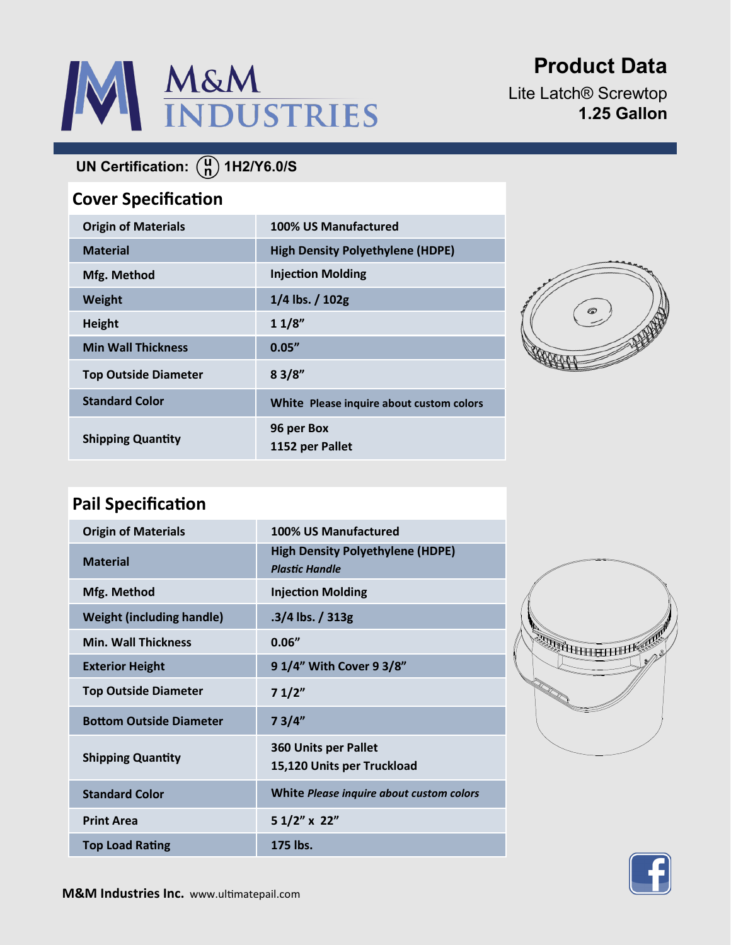

**Product Data**

Lite Latch® Screwtop **1.25 Gallon**

# **UN Certification:** (a) 1H2/Y6.0/S

### **Cover Specification**

| <b>Origin of Materials</b>  | 100% US Manufactured                     |
|-----------------------------|------------------------------------------|
| <b>Material</b>             | <b>High Density Polyethylene (HDPE)</b>  |
| Mfg. Method                 | <b>Injection Molding</b>                 |
| Weight                      | $1/4$ lbs. $/ 102g$                      |
| <b>Height</b>               | 11/8"                                    |
| <b>Min Wall Thickness</b>   | 0.05''                                   |
| <b>Top Outside Diameter</b> | 83/8"                                    |
| <b>Standard Color</b>       | White Please inquire about custom colors |
| <b>Shipping Quantity</b>    | 96 per Box<br>1152 per Pallet            |



## **Pail Specification**

| <b>Origin of Materials</b>       | 100% US Manufactured                                             |
|----------------------------------|------------------------------------------------------------------|
| <b>Material</b>                  | <b>High Density Polyethylene (HDPE)</b><br><b>Plastic Handle</b> |
| Mfg. Method                      | <b>Injection Molding</b>                                         |
| <b>Weight (including handle)</b> | $.3/4$ lbs. $/313g$                                              |
| <b>Min. Wall Thickness</b>       | 0.06''                                                           |
| <b>Exterior Height</b>           | 9 1/4" With Cover 9 3/8"                                         |
| <b>Top Outside Diameter</b>      | 71/2"                                                            |
| <b>Bottom Outside Diameter</b>   | 73/4"                                                            |
| <b>Shipping Quantity</b>         | <b>360 Units per Pallet</b><br>15,120 Units per Truckload        |
| <b>Standard Color</b>            | White Please inquire about custom colors                         |
| <b>Print Area</b>                | 5 1/2" x 22"                                                     |
| <b>Top Load Rating</b>           | 175 lbs.                                                         |